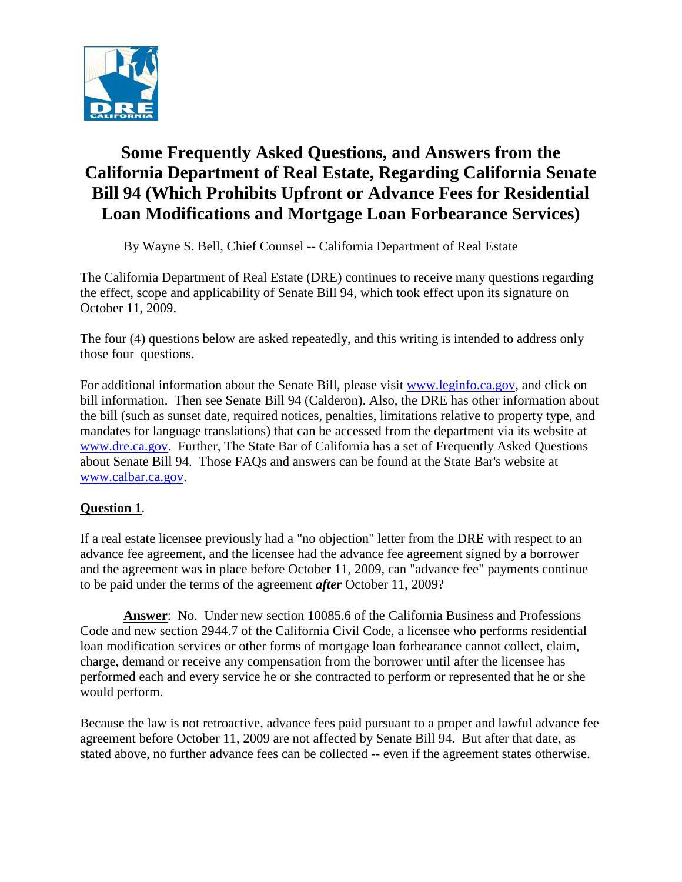

# **Some Frequently Asked Questions, and Answers from the California Department of Real Estate, Regarding California Senate Bill 94 (Which Prohibits Upfront or Advance Fees for Residential Loan Modifications and Mortgage Loan Forbearance Services)**

By Wayne S. Bell, Chief Counsel -- California Department of Real Estate

The California Department of Real Estate (DRE) continues to receive many questions regarding the effect, scope and applicability of Senate Bill 94, which took effect upon its signature on October 11, 2009.

The four (4) questions below are asked repeatedly, and this writing is intended to address only those four questions.

 about Senate Bill 94. Those FAQs and answers can be found at the State Bar's website at For additional information about the Senate Bill, please visit www.leginfo.ca.gov, and click on bill information. Then see Senate Bill 94 (Calderon). Also, the DRE has other information about the bill (such as sunset date, required notices, penalties, limitations relative to property type, and mandates for language translations) that can be accessed from the department via its website at www.dre.ca.gov. Further, The State Bar of California has a set of Frequently Asked Questions www.calbar.ca.gov.

# **Question 1**.

If a real estate licensee previously had a "no objection" letter from the DRE with respect to an advance fee agreement, and the licensee had the advance fee agreement signed by a borrower and the agreement was in place before October 11, 2009, can "advance fee" payments continue to be paid under the terms of the agreement *after* October 11, 2009?

**Answer**: No. Under new section 10085.6 of the California Business and Professions Code and new section 2944.7 of the California Civil Code, a licensee who performs residential loan modification services or other forms of mortgage loan forbearance cannot collect, claim, charge, demand or receive any compensation from the borrower until after the licensee has performed each and every service he or she contracted to perform or represented that he or she would perform.

 agreement before October 11, 2009 are not affected by Senate Bill 94. But after that date, as Because the law is not retroactive, advance fees paid pursuant to a proper and lawful advance fee stated above, no further advance fees can be collected -- even if the agreement states otherwise.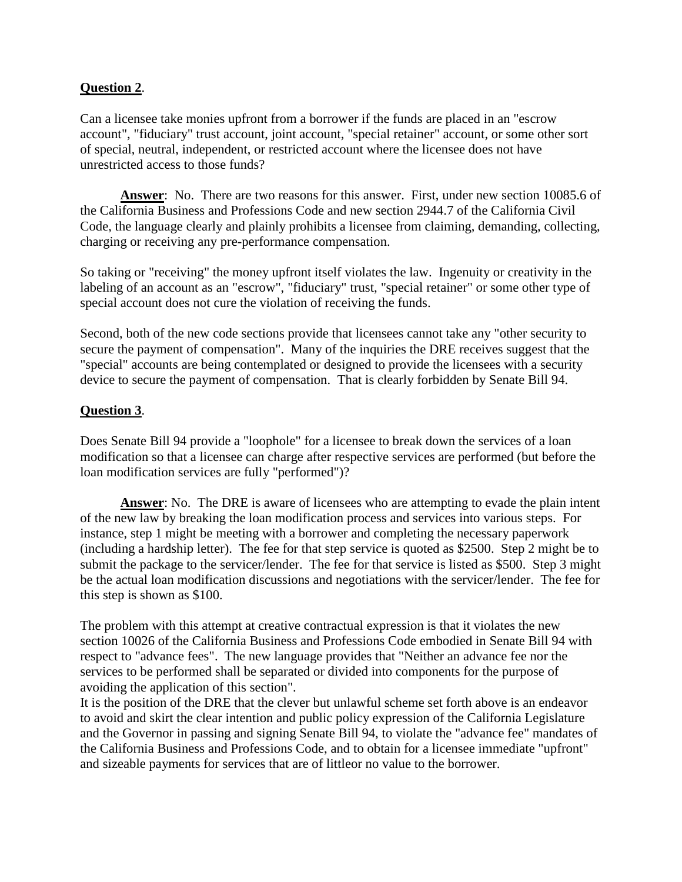### **Question 2**.

Can a licensee take monies upfront from a borrower if the funds are placed in an "escrow account", "fiduciary" trust account, joint account, "special retainer" account, or some other sort of special, neutral, independent, or restricted account where the licensee does not have unrestricted access to those funds?

 Code, the language clearly and plainly prohibits a licensee from claiming, demanding, collecting, **Answer**: No. There are two reasons for this answer. First, under new section 10085.6 of the California Business and Professions Code and new section 2944.7 of the California Civil charging or receiving any pre-performance compensation.

So taking or "receiving" the money upfront itself violates the law. Ingenuity or creativity in the labeling of an account as an "escrow", "fiduciary" trust, "special retainer" or some other type of special account does not cure the violation of receiving the funds.

 "special" accounts are being contemplated or designed to provide the licensees with a security Second, both of the new code sections provide that licensees cannot take any "other security to secure the payment of compensation". Many of the inquiries the DRE receives suggest that the device to secure the payment of compensation. That is clearly forbidden by Senate Bill 94.

#### **Question 3**.

 Does Senate Bill 94 provide a "loophole" for a licensee to break down the services of a loan loan modification services are fully "performed")? modification so that a licensee can charge after respective services are performed (but before the

**Answer**: No. The DRE is aware of licensees who are attempting to evade the plain intent of the new law by breaking the loan modification process and services into various steps. For instance, step 1 might be meeting with a borrower and completing the necessary paperwork (including a hardship letter). The fee for that step service is quoted as \$2500. Step 2 might be to submit the package to the servicer/lender. The fee for that service is listed as \$500. Step 3 might be the actual loan modification discussions and negotiations with the servicer/lender. The fee for this step is shown as \$100.

The problem with this attempt at creative contractual expression is that it violates the new section 10026 of the California Business and Professions Code embodied in Senate Bill 94 with respect to "advance fees". The new language provides that "Neither an advance fee nor the services to be performed shall be separated or divided into components for the purpose of avoiding the application of this section".

 to avoid and skirt the clear intention and public policy expression of the California Legislature It is the position of the DRE that the clever but unlawful scheme set forth above is an endeavor and the Governor in passing and signing Senate Bill 94, to violate the "advance fee" mandates of the California Business and Professions Code, and to obtain for a licensee immediate "upfront" and sizeable payments for services that are of littleor no value to the borrower.